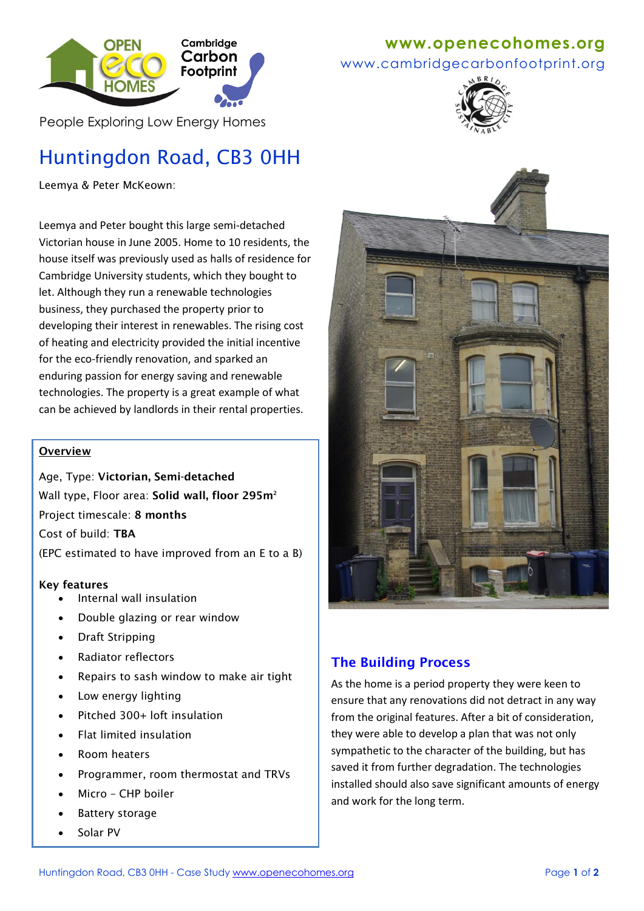

People Exploring Low Energy Homes

# Huntingdon Road, CB3 0HH

Leemya & Peter McKeown:

Leemya and Peter bought this large semi-detached Victorian house in June 2005. Home to 10 residents, the house itself was previously used as halls of residence for Cambridge University students, which they bought to let. Although they run a renewable technologies business, they purchased the property prior to developing their interest in renewables. The rising cost of heating and electricity provided the initial incentive for the eco-friendly renovation, and sparked an enduring passion for energy saving and renewable technologies. The property is a great example of what can be achieved by landlords in their rental properties.

### **Overview**

Age, Type: **Victorian, Semi-detached** Wall type, Floor area: **Solid wall, floor 295m<sup>2</sup>** Project timescale: **8 months**  Cost of build: **TBA**  (EPC estimated to have improved from an E to a B)

#### **Key features**

- Internal wall insulation
- Double glazing or rear window
- Draft Stripping
- Radiator reflectors
- Repairs to sash window to make air tight
- Low energy lighting
- Pitched 300+ loft insulation
- Flat limited insulation
- Room heaters
- Programmer, room thermostat and TRVs
- Micro CHP boiler
- Battery storage
- Solar PV

# **www[.openecohomes.org](http://www.openecohomes.org/)**

www.cambridgecarbonfootprint.org





# **The Building Process**

As the home is a period property they were keen to ensure that any renovations did not detract in any way from the original features. After a bit of consideration, they were able to develop a plan that was not only sympathetic to the character of the building, but has saved it from further degradation. The technologies installed should also save significant amounts of energy and work for the long term.